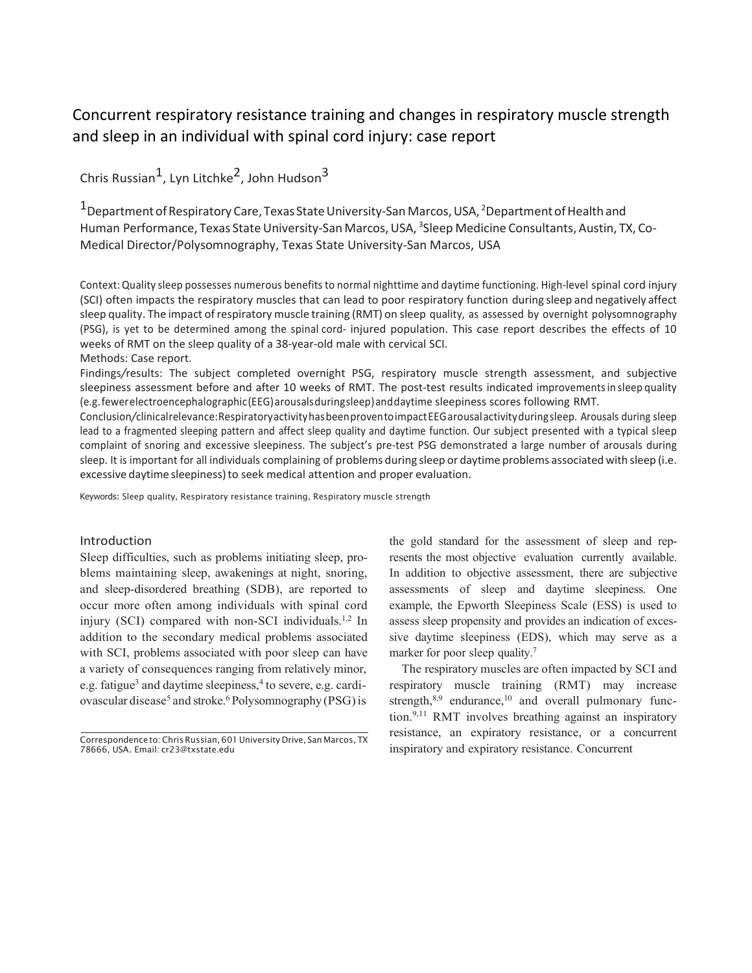# Concurrent respiratory resistance training and changes in respiratory muscle strength and sleep in an individual with spinal cord injury: case report

Chris Russian<sup>1</sup>, Lyn Litchke<sup>2</sup>, John Hudson<sup>3</sup>

 $^{\text{1}}$ Department of Respiratory Care, Texas State University-San Marcos, USA,  $^{\text{2}}$ Department of Health and Human Performance, Texas State University-San Marcos, USA, <sup>3</sup>Sleep Medicine Consultants, Austin, TX, Co-Medical Director/Polysomnography, Texas State University-San Marcos, USA

Context:Quality sleep possesses numerous benefits to normal nighttime and daytime functioning. High-level spinal cord injury (SCI) often impacts the respiratory muscles that can lead to poor respiratory function during sleep and negatively affect sleep quality. The impact of respiratory muscle training (RMT) on sleep quality, as assessed by overnight polysomnography (PSG), is yet to be determined among the spinal cord- injured population. This case report describes the effects of 10 weeks of RMT on the sleep quality of a 38-year-old male with cervical SCI. Methods: Case report.

Findings*/*results: The subject completed overnight PSG, respiratory muscle strength assessment, and subjective sleepiness assessment before and after 10 weeks of RMT. The post-test results indicated improvementsin sleep quality (e.g.fewerelectroencephalographic(EEG)arousalsduringsleep)anddaytime sleepiness scores following RMT.

Conclusion*/*clinicalrelevance:RespiratoryactivityhasbeenproventoimpactEEGarousalactivityduringsleep. Arousals during sleep lead to a fragmented sleeping pattern and affect sleep quality and daytime function. Our subject presented with a typical sleep complaint of snoring and excessive sleepiness. The subject's pre-test PSG demonstrated a large number of arousals during sleep. It is important for all individuals complaining of problems during sleep or daytime problems associated with sleep (i.e. excessive daytime sleepiness) to seek medical attention and proper evaluation.

Keywords: Sleep quality, Respiratory resistance training, Respiratory muscle strength

## Introduction

Sleep difficulties, such as problems initiating sleep, problems maintaining sleep, awakenings at night, snoring, and sleep-disordered breathing (SDB), are reported to occur more often among individuals with spinal cord injury (SCI) compared with non-SCI individuals.<sup>1,[2](#page-3-1)</sup> In addition to the secondary medical problems associated with SCI, problems associated with poor sleep can have a variety of consequences ranging from relatively minor, e.g. fatigue<sup>3</sup> and daytime sleepiness,<sup>4</sup> to severe, e.g. cardiovascular disease<sup>5</sup> and stroke.<sup>6</sup> Polysomnography (PSG) is

the gold standard for the assessment of sleep and represents the most objective evaluation currently available. In addition to objective assessment, there are subjective assessments of sleep and daytime sleepiness. One example, the Epworth Sleepiness Scale (ESS) is used to assess sleep propensity and provides an indication of excessive daytime sleepiness (EDS), which may serve as a marker for poor sleep quality.<sup>7</sup>

The respiratory muscles are often impacted by SCI and respiratory muscle training (RMT) may increase strength, $8,9$  endurance, $10$  and overall pulmonary function[.9,](#page-3-7)[11](#page-3-9) RMT involves breathing against an inspiratory resistance, an expiratory resistance, or a concurrent inspiratory and expiratory resistance. Concurrent

Correspondence to: Chris Russian, 601 University Drive, San Marcos, TX 78666, USA. Email: [cr23@txstate.edu](mailto:cr23@txstate.edu)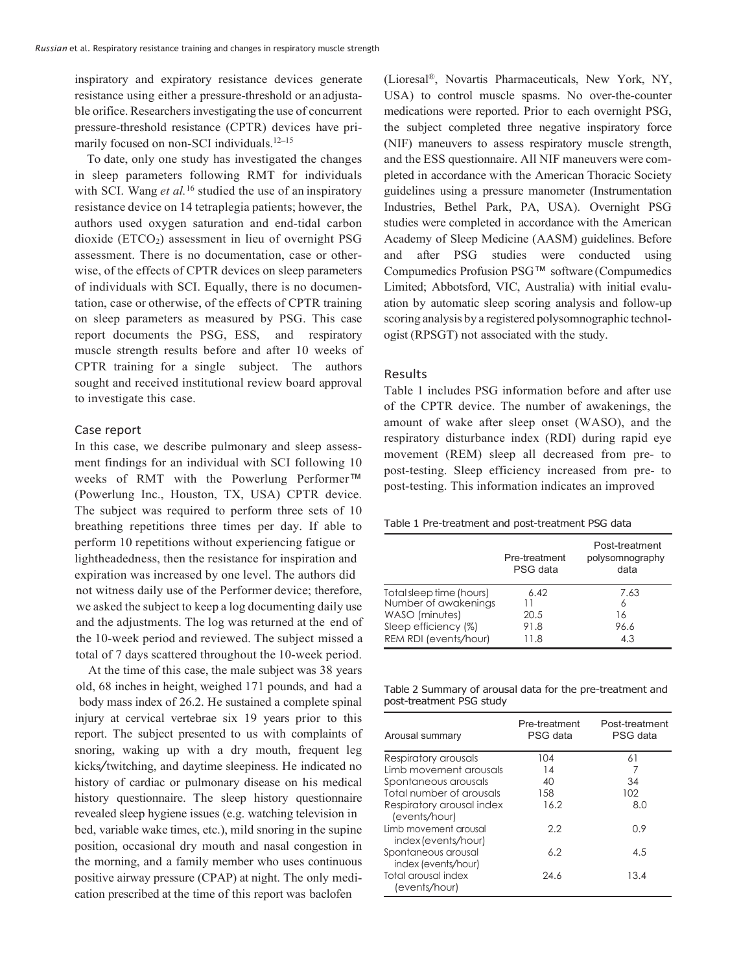inspiratory and expiratory resistance devices generate resistance using either a pressure-threshold or an adjustable orifice. Researchers investigating the use of concurrent pressure-threshold resistance (CPTR) devices have pri-marily focused on non-SCI individuals.<sup>12–[15](#page-3-11)</sup>

To date, only one study has investigated the changes in sleep parameters following RMT for individuals with SCI. Wang *et al.*<sup>[16](#page-3-12)</sup> studied the use of an inspiratory resistance device on 14 tetraplegia patients; however, the authors used oxygen saturation and end-tidal carbon dioxide ( $ETCO<sub>2</sub>$ ) assessment in lieu of overnight PSG assessment. There is no documentation, case or otherwise, of the effects of CPTR devices on sleep parameters of individuals with SCI. Equally, there is no documentation, case or otherwise, of the effects of CPTR training on sleep parameters as measured by PSG. This case report documents the PSG, ESS, and respiratory muscle strength results before and after 10 weeks of CPTR training for a single subject. The authors sought and received institutional review board approval to investigate this case.

### Case report

In this case, we describe pulmonary and sleep assessment findings for an individual with SCI following 10 weeks of RMT with the Powerlung Performer™ (Powerlung Inc., Houston, TX, USA) CPTR device. The subject was required to perform three sets of 10 breathing repetitions three times per day. If able to perform 10 repetitions without experiencing fatigue or lightheadedness, then the resistance for inspiration and expiration was increased by one level. The authors did not witness daily use of the Performer device; therefore, we asked the subject to keep a log documenting daily use and the adjustments. The log was returned at the end of the 10-week period and reviewed. The subject missed a total of 7 days scattered throughout the 10-week period.

At the time of this case, the male subject was 38 years old, 68 inches in height, weighed 171 pounds, and had a body mass index of 26.2. He sustained a complete spinal injury at cervical vertebrae six 19 years prior to this report. The subject presented to us with complaints of snoring, waking up with a dry mouth, frequent leg kicks*/*twitching, and daytime sleepiness. He indicated no history of cardiac or pulmonary disease on his medical history questionnaire. The sleep history questionnaire revealed sleep hygiene issues (e.g. watching television in bed, variable wake times, etc.), mild snoring in the supine position, occasional dry mouth and nasal congestion in the morning, and a family member who uses continuous positive airway pressure (CPAP) at night. The only medication prescribed at the time of this report was baclofen

(Lioresal®, Novartis Pharmaceuticals, New York, NY, USA) to control muscle spasms. No over-the-counter medications were reported. Prior to each overnight PSG, the subject completed three negative inspiratory force (NIF) maneuvers to assess respiratory muscle strength, and the ESS questionnaire. All NIF maneuvers were completed in accordance with the American Thoracic Society guidelines using a pressure manometer (Instrumentation Industries, Bethel Park, PA, USA). Overnight PSG studies were completed in accordance with the American Academy of Sleep Medicine (AASM) guidelines. Before and after PSG studies were conducted using Compumedics Profusion PSG™ software (Compumedics Limited; Abbotsford, VIC, Australia) with initial evaluation by automatic sleep scoring analysis and follow-up scoring analysis by a registered polysomnographic technologist (RPSGT) not associated with the study.

## Results

Table [1 i](#page-1-0)ncludes PSG information before and after use of the CPTR device. The number of awakenings, the amount of wake after sleep onset (WASO), and the respiratory disturbance index (RDI) during rapid eye movement (REM) sleep all decreased from pre- to post-testing. Sleep efficiency increased from pre- to post-testing. This information indicates an improved

<span id="page-1-0"></span>

|  |  | Table 1 Pre-treatment and post-treatment PSG data |  |
|--|--|---------------------------------------------------|--|
|--|--|---------------------------------------------------|--|

|                          | Pre-treatment<br>PSG data | Post-treatment<br>polysomnography<br>data |
|--------------------------|---------------------------|-------------------------------------------|
| Total sleep time (hours) | 6.42                      | 7.63                                      |
| Number of awakenings     |                           | 6                                         |
| WASO (minutes)           | 20.5                      | 16                                        |
| Sleep efficiency (%)     | 91.8                      | 96.6                                      |
| REM RDI (events/hour)    | 11.8                      | 4.3                                       |

<span id="page-1-1"></span>Table 2 Summary of arousal data for the pre-treatment and post-treatment PSG study

| Arousal summary                              | Pre-treatment<br>PSG data | Post-treatment<br>PSG data |
|----------------------------------------------|---------------------------|----------------------------|
| Respiratory arousals                         | 104                       | 61                         |
| Limb movement arousals                       | 14                        |                            |
| Spontaneous arousals                         | 40                        | 34                         |
| Total number of arousals                     | 158                       | 102                        |
| Respiratory arousal index<br>(events/hour)   | 16.2                      | 8.0                        |
| Limb movement arousal<br>index (events/hour) | 2.2                       | 0.9                        |
| Spontaneous arousal<br>index (events/hour)   | 6.2                       | 4.5                        |
| Total arousal index<br>(events/hour)         | 24.6                      | 13.4                       |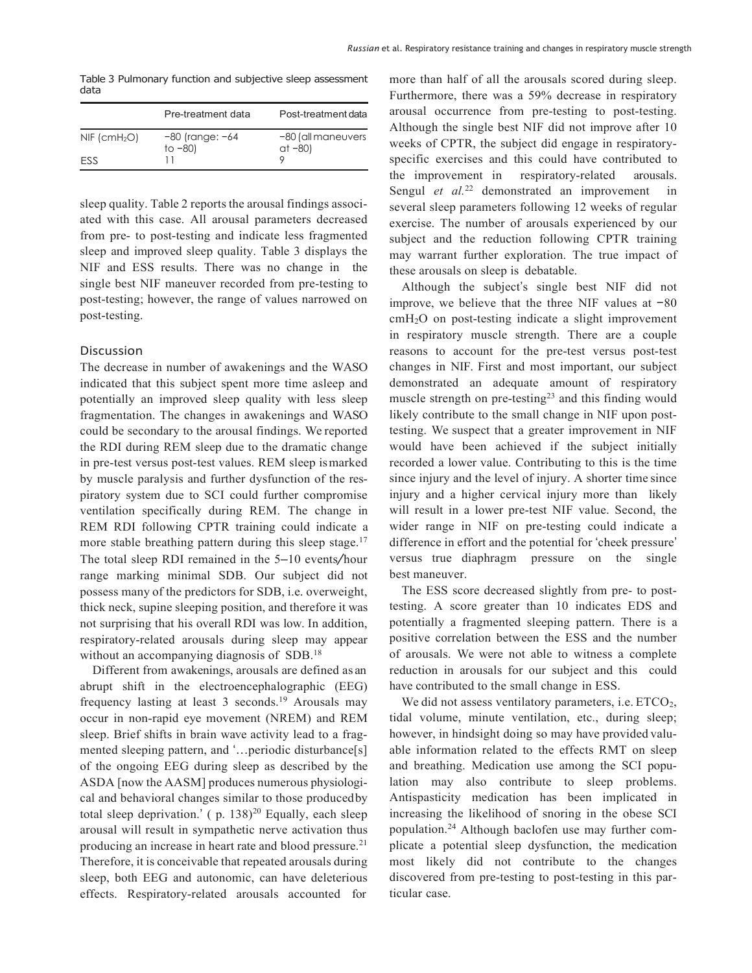<span id="page-2-0"></span>Table 3 Pulmonary function and subjective sleep assessment data

|                            | Pre-treatment data                | Post-treatment data            |
|----------------------------|-----------------------------------|--------------------------------|
| $NIF$ (cmH <sub>2</sub> O) | $-80$ (range: $-64$<br>to $-80$ ) | -80 (all maneuvers<br>$at -80$ |
| <b>FSS</b>                 |                                   |                                |

sleep quality. Table [2](#page-1-1) reports the arousal findings associated with this case. All arousal parameters decreased from pre- to post-testing and indicate less fragmented sleep and improved sleep quality. Table [3](#page-2-0) displays the NIF and ESS results. There was no change in the single best NIF maneuver recorded from pre-testing to post-testing; however, the range of values narrowed on post-testing.

## Discussion

The decrease in number of awakenings and the WASO indicated that this subject spent more time asleep and potentially an improved sleep quality with less sleep fragmentation. The changes in awakenings and WASO could be secondary to the arousal findings. We reported the RDI during REM sleep due to the dramatic change in pre-test versus post-test values. REM sleep ismarked by muscle paralysis and further dysfunction of the respiratory system due to SCI could further compromise ventilation specifically during REM. The change in REM RDI following CPTR training could indicate a more stable breathing pattern during this sleep stage.<sup>17</sup> The total sleep RDI remained in the 5–10 events*/*hour range marking minimal SDB. Our subject did not possess many of the predictors for SDB, i.e. overweight, thick neck, supine sleeping position, and therefore it was not surprising that his overall RDI was low. In addition, respiratory-related arousals during sleep may appear without an accompanying diagnosis of SDB.<sup>18</sup>

Different from awakenings, arousals are defined as an abrupt shift in the electroencephalographic (EEG) frequency lasting at least 3 seconds.<sup>19</sup> Arousals may occur in non-rapid eye movement (NREM) and REM sleep. Brief shifts in brain wave activity lead to a fragmented sleeping pattern, and '…periodic disturbance[s] of the ongoing EEG during sleep as described by the ASDA [now the AASM] produces numerous physiological and behavioral changes similar to those producedby total sleep deprivation.'  $(p. 138)^{20}$  Equally, each sleep arousal will result in sympathetic nerve activation thus producing an increase in heart rate and blood pressure.<sup>21</sup> Therefore, it is conceivable that repeated arousals during sleep, both EEG and autonomic, can have deleterious effects. Respiratory-related arousals accounted for more than half of all the arousals scored during sleep. Furthermore, there was a 59% decrease in respiratory arousal occurrence from pre-testing to post-testing. Although the single best NIF did not improve after 10 weeks of CPTR, the subject did engage in respiratoryspecific exercises and this could have contributed to the improvement in respiratory-related arousals. Sengul *et al.*<sup>[22](#page-3-18)</sup> demonstrated an improvement in several sleep parameters following 12 weeks of regular exercise. The number of arousals experienced by our subject and the reduction following CPTR training may warrant further exploration. The true impact of these arousals on sleep is debatable.

Although the subject's single best NIF did not improve, we believe that the three NIF values at −80 cmH2O on post-testing indicate a slight improvement in respiratory muscle strength. There are a couple reasons to account for the pre-test versus post-test changes in NIF. First and most important, our subject demonstrated an adequate amount of respiratory muscle strength on pre-testing<sup>23</sup> and this finding would likely contribute to the small change in NIF upon posttesting. We suspect that a greater improvement in NIF would have been achieved if the subject initially recorded a lower value. Contributing to this is the time since injury and the level of injury. A shorter time since injury and a higher cervical injury more than likely will result in a lower pre-test NIF value. Second, the wider range in NIF on pre-testing could indicate a difference in effort and the potential for 'cheek pressure' versus true diaphragm pressure on the single best maneuver.

The ESS score decreased slightly from pre- to posttesting. A score greater than 10 indicates EDS and potentially a fragmented sleeping pattern. There is a positive correlation between the ESS and the number of arousals. We were not able to witness a complete reduction in arousals for our subject and this could have contributed to the small change in ESS.

We did not assess ventilatory parameters, i.e. ETCO<sub>2</sub>, tidal volume, minute ventilation, etc., during sleep; however, in hindsight doing so may have provided valuable information related to the effects RMT on sleep and breathing. Medication use among the SCI population may also contribute to sleep problems. Antispasticity medication has been implicated in increasing the likelihood of snoring in the obese SCI population[.24](#page-3-20) Although baclofen use may further complicate a potential sleep dysfunction, the medication most likely did not contribute to the changes discovered from pre-testing to post-testing in this particular case.